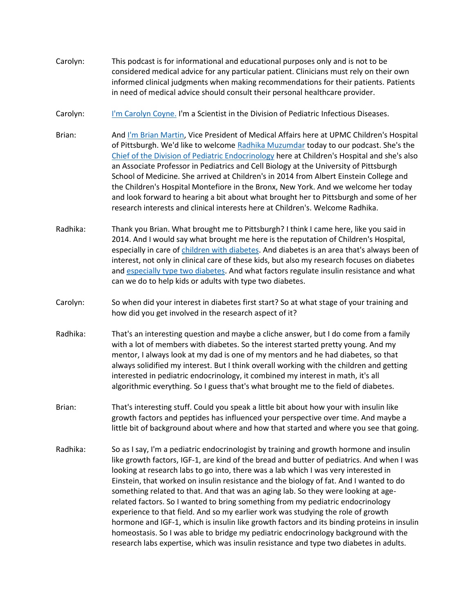- Carolyn: This podcast is for informational and educational purposes only and is not to be considered medical advice for any particular patient. Clinicians must rely on their own informed clinical judgments when making recommendations for their patients. Patients in need of medical advice should consult their personal healthcare provider.
- Carolyn: [I'm Carolyn Coyne.](https://www.pediatrics.pitt.edu/people/carolyn-coyne-phd) I'm a Scientist in the Division of Pediatric Infectious Diseases.
- Brian: And [I'm Brian Martin,](http://www.chp.edu/find-a-doctor/service-providers/brian-martin-7954) Vice President of Medical Affairs here at UPMC Children's Hospital of Pittsburgh. We'd like to welcome [Radhika Muzumdar](http://www.chp.edu/find-a-doctor/service-providers/radhika-muzumdar-191062) today to our podcast. She's the [Chief of the Division of Pediatric Endocrinology](http://www.chp.edu/our-services/endocrinology) here at Children's Hospital and she's also an Associate Professor in Pediatrics and Cell Biology at the University of Pittsburgh School of Medicine. She arrived at Children's in 2014 from Albert Einstein College and the Children's Hospital Montefiore in the Bronx, New York. And we welcome her today and look forward to hearing a bit about what brought her to Pittsburgh and some of her research interests and clinical interests here at Children's. Welcome Radhika.
- Radhika: Thank you Brian. What brought me to Pittsburgh? I think I came here, like you said in 2014. And I would say what brought me here is the reputation of Children's Hospital, especially in care of [children with diabetes.](http://www.chp.edu/our-services/endocrinology/about-diabetes) And diabetes is an area that's always been of interest, not only in clinical care of these kids, but also my research focuses on diabetes and [especially type two diabetes.](http://www.chp.edu/our-services/endocrinology/about-diabetes/type-2) And what factors regulate insulin resistance and what can we do to help kids or adults with type two diabetes.
- Carolyn: So when did your interest in diabetes first start? So at what stage of your training and how did you get involved in the research aspect of it?
- Radhika: That's an interesting question and maybe a cliche answer, but I do come from a family with a lot of members with diabetes. So the interest started pretty young. And my mentor, I always look at my dad is one of my mentors and he had diabetes, so that always solidified my interest. But I think overall working with the children and getting interested in pediatric endocrinology, it combined my interest in math, it's all algorithmic everything. So I guess that's what brought me to the field of diabetes.
- Brian: That's interesting stuff. Could you speak a little bit about how your with insulin like growth factors and peptides has influenced your perspective over time. And maybe a little bit of background about where and how that started and where you see that going.
- Radhika: So as I say, I'm a pediatric endocrinologist by training and growth hormone and insulin like growth factors, IGF-1, are kind of the bread and butter of pediatrics. And when I was looking at research labs to go into, there was a lab which I was very interested in Einstein, that worked on insulin resistance and the biology of fat. And I wanted to do something related to that. And that was an aging lab. So they were looking at agerelated factors. So I wanted to bring something from my pediatric endocrinology experience to that field. And so my earlier work was studying the role of growth hormone and IGF-1, which is insulin like growth factors and its binding proteins in insulin homeostasis. So I was able to bridge my pediatric endocrinology background with the research labs expertise, which was insulin resistance and type two diabetes in adults.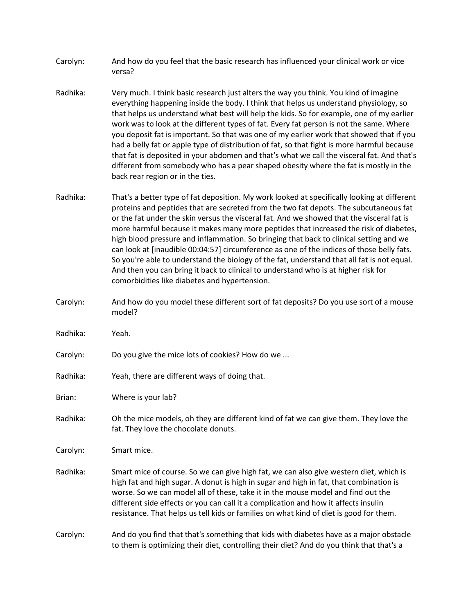- Carolyn: And how do you feel that the basic research has influenced your clinical work or vice versa?
- Radhika: Very much. I think basic research just alters the way you think. You kind of imagine everything happening inside the body. I think that helps us understand physiology, so that helps us understand what best will help the kids. So for example, one of my earlier work was to look at the different types of fat. Every fat person is not the same. Where you deposit fat is important. So that was one of my earlier work that showed that if you had a belly fat or apple type of distribution of fat, so that fight is more harmful because that fat is deposited in your abdomen and that's what we call the visceral fat. And that's different from somebody who has a pear shaped obesity where the fat is mostly in the back rear region or in the ties.
- Radhika: That's a better type of fat deposition. My work looked at specifically looking at different proteins and peptides that are secreted from the two fat depots. The subcutaneous fat or the fat under the skin versus the visceral fat. And we showed that the visceral fat is more harmful because it makes many more peptides that increased the risk of diabetes, high blood pressure and inflammation. So bringing that back to clinical setting and we can look at [inaudible 00:04:57] circumference as one of the indices of those belly fats. So you're able to understand the biology of the fat, understand that all fat is not equal. And then you can bring it back to clinical to understand who is at higher risk for comorbidities like diabetes and hypertension.
- Carolyn: And how do you model these different sort of fat deposits? Do you use sort of a mouse model?
- Radhika: Yeah.
- Carolyn: Do you give the mice lots of cookies? How do we ...
- Radhika: Yeah, there are different ways of doing that.
- Brian: Where is your lab?
- Radhika: Oh the mice models, oh they are different kind of fat we can give them. They love the fat. They love the chocolate donuts.
- Carolyn: Smart mice.
- Radhika: Smart mice of course. So we can give high fat, we can also give western diet, which is high fat and high sugar. A donut is high in sugar and high in fat, that combination is worse. So we can model all of these, take it in the mouse model and find out the different side effects or you can call it a complication and how it affects insulin resistance. That helps us tell kids or families on what kind of diet is good for them.
- Carolyn: And do you find that that's something that kids with diabetes have as a major obstacle to them is optimizing their diet, controlling their diet? And do you think that that's a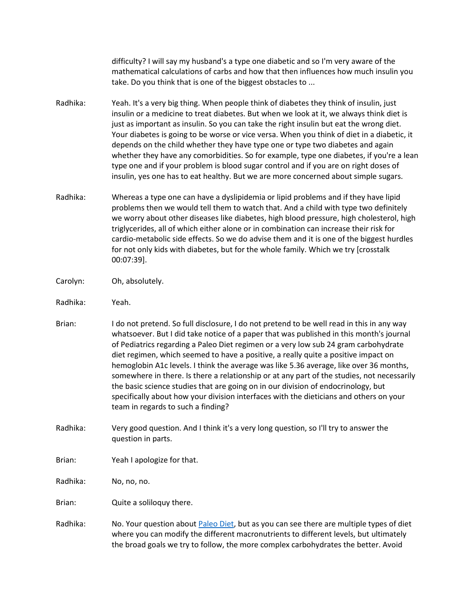difficulty? I will say my husband's a type one diabetic and so I'm very aware of the mathematical calculations of carbs and how that then influences how much insulin you take. Do you think that is one of the biggest obstacles to ...

- Radhika: Yeah. It's a very big thing. When people think of diabetes they think of insulin, just insulin or a medicine to treat diabetes. But when we look at it, we always think diet is just as important as insulin. So you can take the right insulin but eat the wrong diet. Your diabetes is going to be worse or vice versa. When you think of diet in a diabetic, it depends on the child whether they have type one or type two diabetes and again whether they have any comorbidities. So for example, type one diabetes, if you're a lean type one and if your problem is blood sugar control and if you are on right doses of insulin, yes one has to eat healthy. But we are more concerned about simple sugars.
- Radhika: Whereas a type one can have a dyslipidemia or lipid problems and if they have lipid problems then we would tell them to watch that. And a child with type two definitely we worry about other diseases like diabetes, high blood pressure, high cholesterol, high triglycerides, all of which either alone or in combination can increase their risk for cardio-metabolic side effects. So we do advise them and it is one of the biggest hurdles for not only kids with diabetes, but for the whole family. Which we try [crosstalk 00:07:39].
- Carolyn: Oh, absolutely.
- Radhika: Yeah.
- Brian: I do not pretend. So full disclosure, I do not pretend to be well read in this in any way whatsoever. But I did take notice of a paper that was published in this month's journal of Pediatrics regarding a Paleo Diet regimen or a very low sub 24 gram carbohydrate diet regimen, which seemed to have a positive, a really quite a positive impact on hemoglobin A1c levels. I think the average was like 5.36 average, like over 36 months, somewhere in there. Is there a relationship or at any part of the studies, not necessarily the basic science studies that are going on in our division of endocrinology, but specifically about how your division interfaces with the dieticians and others on your team in regards to such a finding?
- Radhika: Very good question. And I think it's a very long question, so I'll try to answer the question in parts.
- Brian: Yeah I apologize for that.

Radhika: No, no, no.

Brian: Quite a soliloquy there.

Radhika: No. Your question about [Paleo Diet,](https://share.upmc.com/2016/04/pros-cons-paleo-diet/) but as you can see there are multiple types of diet where you can modify the different macronutrients to different levels, but ultimately the broad goals we try to follow, the more complex carbohydrates the better. Avoid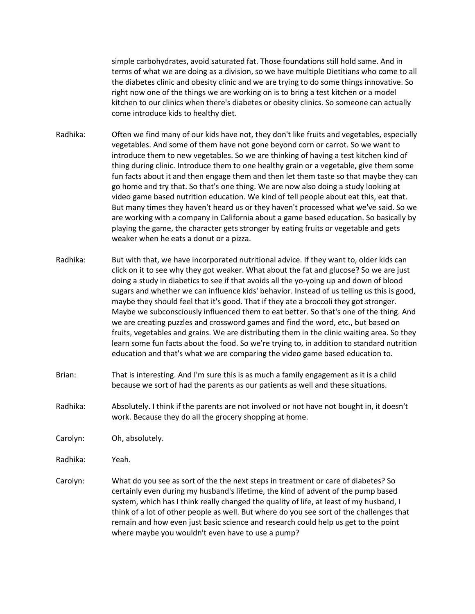simple carbohydrates, avoid saturated fat. Those foundations still hold same. And in terms of what we are doing as a division, so we have multiple Dietitians who come to all the diabetes clinic and obesity clinic and we are trying to do some things innovative. So right now one of the things we are working on is to bring a test kitchen or a model kitchen to our clinics when there's diabetes or obesity clinics. So someone can actually come introduce kids to healthy diet.

- Radhika: Often we find many of our kids have not, they don't like fruits and vegetables, especially vegetables. And some of them have not gone beyond corn or carrot. So we want to introduce them to new vegetables. So we are thinking of having a test kitchen kind of thing during clinic. Introduce them to one healthy grain or a vegetable, give them some fun facts about it and then engage them and then let them taste so that maybe they can go home and try that. So that's one thing. We are now also doing a study looking at video game based nutrition education. We kind of tell people about eat this, eat that. But many times they haven't heard us or they haven't processed what we've said. So we are working with a company in California about a game based education. So basically by playing the game, the character gets stronger by eating fruits or vegetable and gets weaker when he eats a donut or a pizza.
- Radhika: But with that, we have incorporated nutritional advice. If they want to, older kids can click on it to see why they got weaker. What about the fat and glucose? So we are just doing a study in diabetics to see if that avoids all the yo-yoing up and down of blood sugars and whether we can influence kids' behavior. Instead of us telling us this is good, maybe they should feel that it's good. That if they ate a broccoli they got stronger. Maybe we subconsciously influenced them to eat better. So that's one of the thing. And we are creating puzzles and crossword games and find the word, etc., but based on fruits, vegetables and grains. We are distributing them in the clinic waiting area. So they learn some fun facts about the food. So we're trying to, in addition to standard nutrition education and that's what we are comparing the video game based education to.
- Brian: That is interesting. And I'm sure this is as much a family engagement as it is a child because we sort of had the parents as our patients as well and these situations.
- Radhika: Absolutely. I think if the parents are not involved or not have not bought in, it doesn't work. Because they do all the grocery shopping at home.
- Carolyn: Oh, absolutely.
- Radhika: Yeah.
- Carolyn: What do you see as sort of the the next steps in treatment or care of diabetes? So certainly even during my husband's lifetime, the kind of advent of the pump based system, which has I think really changed the quality of life, at least of my husband, I think of a lot of other people as well. But where do you see sort of the challenges that remain and how even just basic science and research could help us get to the point where maybe you wouldn't even have to use a pump?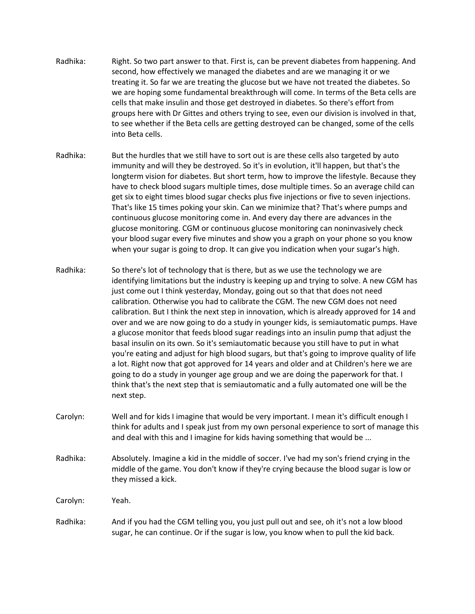- Radhika: Right. So two part answer to that. First is, can be prevent diabetes from happening. And second, how effectively we managed the diabetes and are we managing it or we treating it. So far we are treating the glucose but we have not treated the diabetes. So we are hoping some fundamental breakthrough will come. In terms of the Beta cells are cells that make insulin and those get destroyed in diabetes. So there's effort from groups here with Dr Gittes and others trying to see, even our division is involved in that, to see whether if the Beta cells are getting destroyed can be changed, some of the cells into Beta cells.
- Radhika: But the hurdles that we still have to sort out is are these cells also targeted by auto immunity and will they be destroyed. So it's in evolution, it'll happen, but that's the longterm vision for diabetes. But short term, how to improve the lifestyle. Because they have to check blood sugars multiple times, dose multiple times. So an average child can get six to eight times blood sugar checks plus five injections or five to seven injections. That's like 15 times poking your skin. Can we minimize that? That's where pumps and continuous glucose monitoring come in. And every day there are advances in the glucose monitoring. CGM or continuous glucose monitoring can noninvasively check your blood sugar every five minutes and show you a graph on your phone so you know when your sugar is going to drop. It can give you indication when your sugar's high.
- Radhika: So there's lot of technology that is there, but as we use the technology we are identifying limitations but the industry is keeping up and trying to solve. A new CGM has just come out I think yesterday, Monday, going out so that that does not need calibration. Otherwise you had to calibrate the CGM. The new CGM does not need calibration. But I think the next step in innovation, which is already approved for 14 and over and we are now going to do a study in younger kids, is semiautomatic pumps. Have a glucose monitor that feeds blood sugar readings into an insulin pump that adjust the basal insulin on its own. So it's semiautomatic because you still have to put in what you're eating and adjust for high blood sugars, but that's going to improve quality of life a lot. Right now that got approved for 14 years and older and at Children's here we are going to do a study in younger age group and we are doing the paperwork for that. I think that's the next step that is semiautomatic and a fully automated one will be the next step.
- Carolyn: Well and for kids I imagine that would be very important. I mean it's difficult enough I think for adults and I speak just from my own personal experience to sort of manage this and deal with this and I imagine for kids having something that would be ...
- Radhika: Absolutely. Imagine a kid in the middle of soccer. I've had my son's friend crying in the middle of the game. You don't know if they're crying because the blood sugar is low or they missed a kick.

Carolyn: Yeah.

Radhika: And if you had the CGM telling you, you just pull out and see, oh it's not a low blood sugar, he can continue. Or if the sugar is low, you know when to pull the kid back.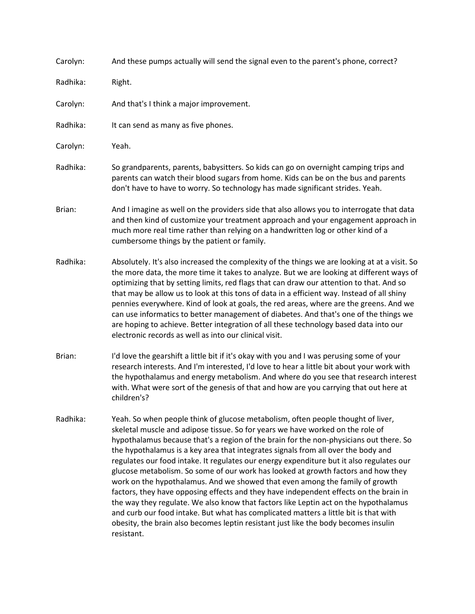| Carolyn: | And these pumps actually will send the signal even to the parent's phone, correct?                                                                                                                                                                                                                                                                                                                                                                                                                                                                                                                                                                                                                                                                                                                                                                                                                                                                                                               |
|----------|--------------------------------------------------------------------------------------------------------------------------------------------------------------------------------------------------------------------------------------------------------------------------------------------------------------------------------------------------------------------------------------------------------------------------------------------------------------------------------------------------------------------------------------------------------------------------------------------------------------------------------------------------------------------------------------------------------------------------------------------------------------------------------------------------------------------------------------------------------------------------------------------------------------------------------------------------------------------------------------------------|
| Radhika: | Right.                                                                                                                                                                                                                                                                                                                                                                                                                                                                                                                                                                                                                                                                                                                                                                                                                                                                                                                                                                                           |
| Carolyn: | And that's I think a major improvement.                                                                                                                                                                                                                                                                                                                                                                                                                                                                                                                                                                                                                                                                                                                                                                                                                                                                                                                                                          |
| Radhika: | It can send as many as five phones.                                                                                                                                                                                                                                                                                                                                                                                                                                                                                                                                                                                                                                                                                                                                                                                                                                                                                                                                                              |
| Carolyn: | Yeah.                                                                                                                                                                                                                                                                                                                                                                                                                                                                                                                                                                                                                                                                                                                                                                                                                                                                                                                                                                                            |
| Radhika: | So grandparents, parents, babysitters. So kids can go on overnight camping trips and<br>parents can watch their blood sugars from home. Kids can be on the bus and parents<br>don't have to have to worry. So technology has made significant strides. Yeah.                                                                                                                                                                                                                                                                                                                                                                                                                                                                                                                                                                                                                                                                                                                                     |
| Brian:   | And I imagine as well on the providers side that also allows you to interrogate that data<br>and then kind of customize your treatment approach and your engagement approach in<br>much more real time rather than relying on a handwritten log or other kind of a<br>cumbersome things by the patient or family.                                                                                                                                                                                                                                                                                                                                                                                                                                                                                                                                                                                                                                                                                |
| Radhika: | Absolutely. It's also increased the complexity of the things we are looking at at a visit. So<br>the more data, the more time it takes to analyze. But we are looking at different ways of<br>optimizing that by setting limits, red flags that can draw our attention to that. And so<br>that may be allow us to look at this tons of data in a efficient way. Instead of all shiny<br>pennies everywhere. Kind of look at goals, the red areas, where are the greens. And we<br>can use informatics to better management of diabetes. And that's one of the things we<br>are hoping to achieve. Better integration of all these technology based data into our<br>electronic records as well as into our clinical visit.                                                                                                                                                                                                                                                                       |
| Brian:   | I'd love the gearshift a little bit if it's okay with you and I was perusing some of your<br>research interests. And I'm interested, I'd love to hear a little bit about your work with<br>the hypothalamus and energy metabolism. And where do you see that research interest<br>with. What were sort of the genesis of that and how are you carrying that out here at<br>children's?                                                                                                                                                                                                                                                                                                                                                                                                                                                                                                                                                                                                           |
| Radhika: | Yeah. So when people think of glucose metabolism, often people thought of liver,<br>skeletal muscle and adipose tissue. So for years we have worked on the role of<br>hypothalamus because that's a region of the brain for the non-physicians out there. So<br>the hypothalamus is a key area that integrates signals from all over the body and<br>regulates our food intake. It regulates our energy expenditure but it also regulates our<br>glucose metabolism. So some of our work has looked at growth factors and how they<br>work on the hypothalamus. And we showed that even among the family of growth<br>factors, they have opposing effects and they have independent effects on the brain in<br>the way they regulate. We also know that factors like Leptin act on the hypothalamus<br>and curb our food intake. But what has complicated matters a little bit is that with<br>obesity, the brain also becomes leptin resistant just like the body becomes insulin<br>resistant. |